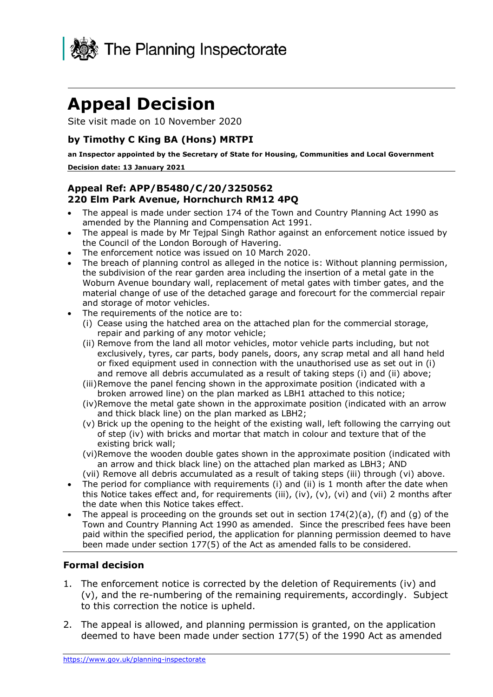

# **Appeal Decision**

Site visit made on 10 November 2020

#### **by Timothy C King BA (Hons) MRTPI**

 **Decision date: 13 January 2021 an Inspector appointed by the Secretary of State for Housing, Communities and Local Government** 

#### **Appeal Ref: APP/B5480/C/20/3250562 220 Elm Park Avenue, Hornchurch RM12 4PQ**

- • The appeal is made under section 174 of the Town and Country Planning Act 1990 as amended by the Planning and Compensation Act 1991.
- • The appeal is made by Mr Tejpal Singh Rathor against an enforcement notice issued by the Council of the London Borough of Havering.
- The enforcement notice was issued on 10 March 2020.
- • The breach of planning control as alleged in the notice is: Without planning permission, the subdivision of the rear garden area including the insertion of a metal gate in the Woburn Avenue boundary wall, replacement of metal gates with timber gates, and the material change of use of the detached garage and forecourt for the commercial repair and storage of motor vehicles.
- • The requirements of the notice are to:
	- (i) Cease using the hatched area on the attached plan for the commercial storage, repair and parking of any motor vehicle;
	- (ii) Remove from the land all motor vehicles, motor vehicle parts including, but not exclusively, tyres, car parts, body panels, doors, any scrap metal and all hand held or fixed equipment used in connection with the unauthorised use as set out in (i) and remove all debris accumulated as a result of taking steps (i) and (ii) above;
	- (iii)Remove the panel fencing shown in the approximate position (indicated with a broken arrowed line) on the plan marked as LBH1 attached to this notice;
	- (iv)Remove the metal gate shown in the approximate position (indicated with an arrow and thick black line) on the plan marked as LBH2;
	- (v) Brick up the opening to the height of the existing wall, left following the carrying out of step (iv) with bricks and mortar that match in colour and texture that of the existing brick wall;
	- (vi)Remove the wooden double gates shown in the approximate position (indicated with an arrow and thick black line) on the attached plan marked as LBH3; AND
	- (vii) Remove all debris accumulated as a result of taking steps (iii) through (vi) above.
- • The period for compliance with requirements (i) and (ii) is 1 month after the date when this Notice takes effect and, for requirements (iii), (iv), (v), (vi) and (vii) 2 months after the date when this Notice takes effect.
- The appeal is proceeding on the grounds set out in section  $174(2)(a)$ , (f) and (g) of the Town and Country Planning Act 1990 as amended. Since the prescribed fees have been paid within the specified period, the application for planning permission deemed to have been made under section 177(5) of the Act as amended falls to be considered.

#### **Formal decision**

- 1. The enforcement notice is corrected by the deletion of Requirements (iv) and (v), and the re-numbering of the remaining requirements, accordingly. Subject to this correction the notice is upheld.
- 2. The appeal is allowed, and planning permission is granted, on the application deemed to have been made under section 177(5) of the 1990 Act as amended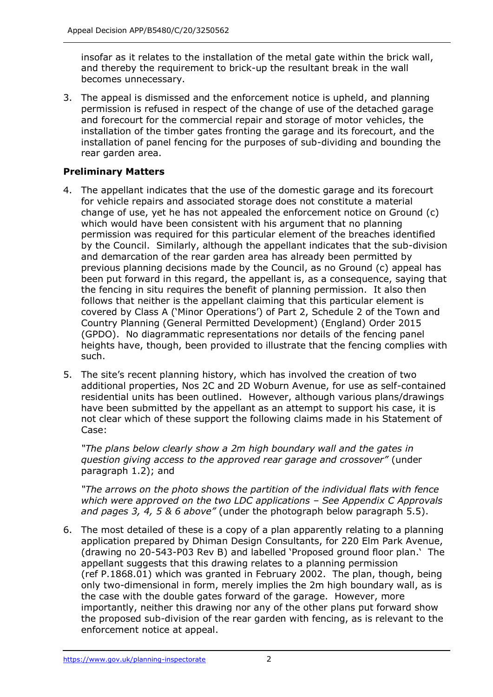insofar as it relates to the installation of the metal gate within the brick wall, and thereby the requirement to brick-up the resultant break in the wall becomes unnecessary.

 3. The appeal is dismissed and the enforcement notice is upheld, and planning permission is refused in respect of the change of use of the detached garage and forecourt for the commercial repair and storage of motor vehicles, the installation of the timber gates fronting the garage and its forecourt, and the installation of panel fencing for the purposes of sub-dividing and bounding the rear garden area.

#### **Preliminary Matters**

- 4. The appellant indicates that the use of the domestic garage and its forecourt for vehicle repairs and associated storage does not constitute a material change of use, yet he has not appealed the enforcement notice on Ground (c) which would have been consistent with his argument that no planning permission was required for this particular element of the breaches identified by the Council. Similarly, although the appellant indicates that the sub-division and demarcation of the rear garden area has already been permitted by previous planning decisions made by the Council, as no Ground (c) appeal has been put forward in this regard, the appellant is, as a consequence, saying that the fencing in situ requires the benefit of planning permission. It also then follows that neither is the appellant claiming that this particular element is covered by Class A ('Minor Operations') of Part 2, Schedule 2 of the Town and Country Planning (General Permitted Development) (England) Order 2015 (GPDO). No diagrammatic representations nor details of the fencing panel heights have, though, been provided to illustrate that the fencing complies with such.
- 5. The site's recent planning history, which has involved the creation of two additional properties, Nos 2C and 2D Woburn Avenue, for use as self-contained residential units has been outlined. However, although various plans/drawings have been submitted by the appellant as an attempt to support his case, it is not clear which of these support the following claims made in his Statement of Case:

 *"The plans below clearly show a 2m high boundary wall and the gates in question giving access to the approved rear garage and crossover"* (under paragraph 1.2); and

 *"The arrows on the photo shows the partition of the individual flats with fence which were approved on the two LDC applications – See Appendix C Approvals and pages 3, 4, 5 & 6 above"* (under the photograph below paragraph 5.5).

 6. The most detailed of these is a copy of a plan apparently relating to a planning application prepared by Dhiman Design Consultants, for 220 Elm Park Avenue, (drawing no 20-543-P03 Rev B) and labelled 'Proposed ground floor plan.' The appellant suggests that this drawing relates to a planning permission (ref P.1868.01) which was granted in February 2002. The plan, though, being only two-dimensional in form, merely implies the 2m high boundary wall, as is the case with the double gates forward of the garage. However, more importantly, neither this drawing nor any of the other plans put forward show the proposed sub-division of the rear garden with fencing, as is relevant to the enforcement notice at appeal.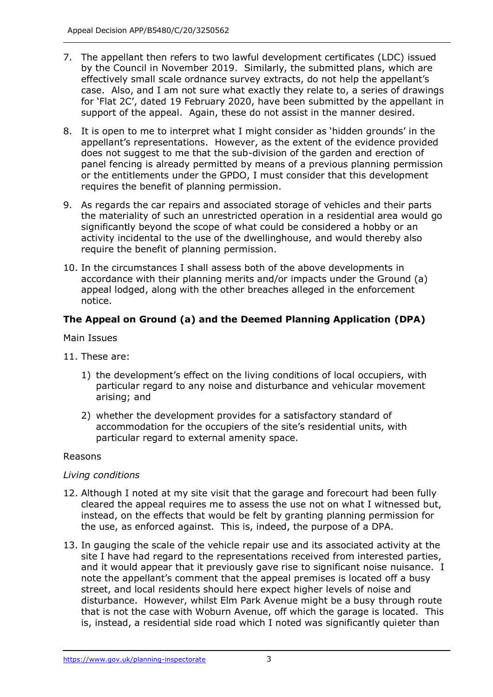- 7. The appellant then refers to two lawful development certificates (LDC) issued by the Council in November 2019. Similarly, the submitted plans, which are effectively small scale ordnance survey extracts, do not help the appellant's case. Also, and I am not sure what exactly they relate to, a series of drawings for 'Flat 2C', dated 19 February 2020, have been submitted by the appellant in support of the appeal. Again, these do not assist in the manner desired.
- 8. It is open to me to interpret what I might consider as 'hidden grounds' in the appellant's representations. However, as the extent of the evidence provided does not suggest to me that the sub-division of the garden and erection of panel fencing is already permitted by means of a previous planning permission or the entitlements under the GPDO, I must consider that this development requires the benefit of planning permission.
- requires the benefit of planning permission. 9. As regards the car repairs and associated storage of vehicles and their parts the materiality of such an unrestricted operation in a residential area would go significantly beyond the scope of what could be considered a hobby or an activity incidental to the use of the dwellinghouse, and would thereby also require the benefit of planning permission.
- 10. In the circumstances I shall assess both of the above developments in accordance with their planning merits and/or impacts under the Ground (a) appeal lodged, along with the other breaches alleged in the enforcement notice.

# **The Appeal on Ground (a) and the Deemed Planning Application (DPA)**

Main Issues

- 11. These are:
	- 1) the development's effect on the living conditions of local occupiers, with particular regard to any noise and disturbance and vehicular movement arising; and
	- 2) whether the development provides for a satisfactory standard of accommodation for the occupiers of the site's residential units, with particular regard to external amenity space.

#### Reasons

#### *Living conditions*

- 12. Although I noted at my site visit that the garage and forecourt had been fully cleared the appeal requires me to assess the use not on what I witnessed but, instead, on the effects that would be felt by granting planning permission for the use, as enforced against. This is, indeed, the purpose of a DPA.
- 13. In gauging the scale of the vehicle repair use and its associated activity at the site I have had regard to the representations received from interested parties, and it would appear that it previously gave rise to significant noise nuisance. I note the appellant's comment that the appeal premises is located off a busy street, and local residents should here expect higher levels of noise and disturbance. However, whilst Elm Park Avenue might be a busy through route that is not the case with Woburn Avenue, off which the garage is located. This is, instead, a residential side road which I noted was significantly quieter than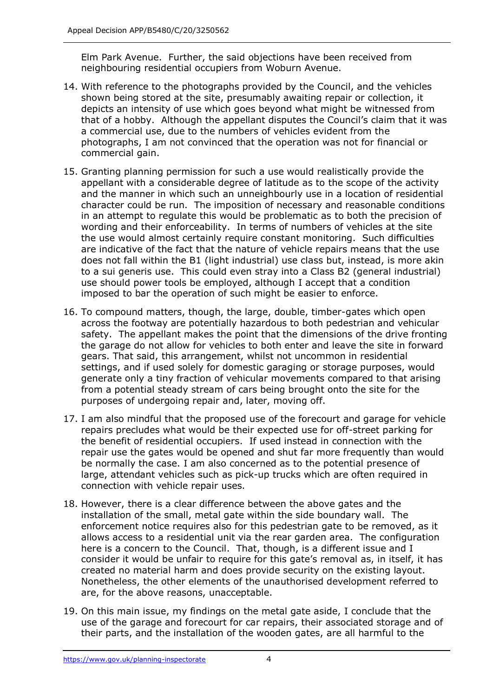Elm Park Avenue. Further, the said objections have been received from neighbouring residential occupiers from Woburn Avenue.

- neighbouring residential occupiers from Woburn Avenue. 14. With reference to the photographs provided by the Council, and the vehicles shown being stored at the site, presumably awaiting repair or collection, it depicts an intensity of use which goes beyond what might be witnessed from that of a hobby. Although the appellant disputes the Council's claim that it was a commercial use, due to the numbers of vehicles evident from the photographs, I am not convinced that the operation was not for financial or commercial gain.
- 15. Granting planning permission for such a use would realistically provide the appellant with a considerable degree of latitude as to the scope of the activity and the manner in which such an unneighbourly use in a location of residential character could be run. The imposition of necessary and reasonable conditions in an attempt to regulate this would be problematic as to both the precision of wording and their enforceability. In terms of numbers of vehicles at the site the use would almost certainly require constant monitoring. Such difficulties are indicative of the fact that the nature of vehicle repairs means that the use does not fall within the B1 (light industrial) use class but, instead, is more akin to a sui generis use. This could even stray into a Class B2 (general industrial) use should power tools be employed, although I accept that a condition imposed to bar the operation of such might be easier to enforce.
- 16. To compound matters, though, the large, double, timber-gates which open across the footway are potentially hazardous to both pedestrian and vehicular safety. The appellant makes the point that the dimensions of the drive fronting the garage do not allow for vehicles to both enter and leave the site in forward settings, and if used solely for domestic garaging or storage purposes, would generate only a tiny fraction of vehicular movements compared to that arising from a potential steady stream of cars being brought onto the site for the purposes of undergoing repair and, later, moving off. gears. That said, this arrangement, whilst not uncommon in residential
- 17. I am also mindful that the proposed use of the forecourt and garage for vehicle repairs precludes what would be their expected use for off-street parking for the benefit of residential occupiers. If used instead in connection with the repair use the gates would be opened and shut far more frequently than would be normally the case. I am also concerned as to the potential presence of large, attendant vehicles such as pick-up trucks which are often required in connection with vehicle repair uses.
- 18. However, there is a clear difference between the above gates and the installation of the small, metal gate within the side boundary wall. The enforcement notice requires also for this pedestrian gate to be removed, as it allows access to a residential unit via the rear garden area. The configuration here is a concern to the Council. That, though, is a different issue and I consider it would be unfair to require for this gate's removal as, in itself, it has created no material harm and does provide security on the existing layout. Nonetheless, the other elements of the unauthorised development referred to are, for the above reasons, unacceptable.
- 19. On this main issue, my findings on the metal gate aside, I conclude that the use of the garage and forecourt for car repairs, their associated storage and of their parts, and the installation of the wooden gates, are all harmful to the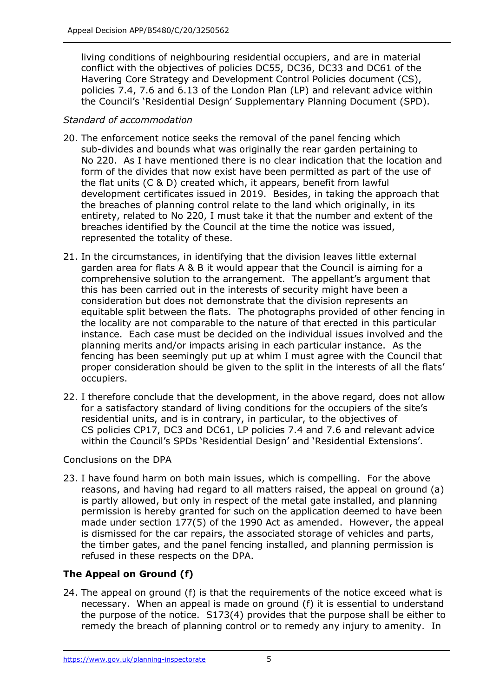conflict with the objectives of policies DC55, DC36, DC33 and DC61 of the Havering Core Strategy and Development Control Policies document (CS), policies 7.4, 7.6 and 6.13 of the London Plan (LP) and relevant advice within the Council's 'Residential Design' Supplementary Planning Document (SPD). living conditions of neighbouring residential occupiers, and are in material

### *Standard of accommodation*

- 20. The enforcement notice seeks the removal of the panel fencing which sub-divides and bounds what was originally the rear garden pertaining to No 220. As I have mentioned there is no clear indication that the location and form of the divides that now exist have been permitted as part of the use of the flat units (C & D) created which, it appears, benefit from lawful development certificates issued in 2019. Besides, in taking the approach that the breaches of planning control relate to the land which originally, in its entirety, related to No 220, I must take it that the number and extent of the breaches identified by the Council at the time the notice was issued, represented the totality of these.
- 21. In the circumstances, in identifying that the division leaves little external garden area for flats A & B it would appear that the Council is aiming for a comprehensive solution to the arrangement. The appellant's argument that this has been carried out in the interests of security might have been a consideration but does not demonstrate that the division represents an equitable split between the flats. The photographs provided of other fencing in the locality are not comparable to the nature of that erected in this particular instance. Each case must be decided on the individual issues involved and the planning merits and/or impacts arising in each particular instance. As the fencing has been seemingly put up at whim I must agree with the Council that proper consideration should be given to the split in the interests of all the flats' occupiers.
- occupiers.<br>22. I therefore conclude that the development, in the above regard, does not allow for a satisfactory standard of living conditions for the occupiers of the site's residential units, and is in contrary, in particular, to the objectives of CS policies CP17, DC3 and DC61, LP policies 7.4 and 7.6 and relevant advice within the Council's SPDs 'Residential Design' and 'Residential Extensions'.

Conclusions on the DPA

 23. I have found harm on both main issues, which is compelling. For the above reasons, and having had regard to all matters raised, the appeal on ground (a) is partly allowed, but only in respect of the metal gate installed, and planning permission is hereby granted for such on the application deemed to have been made under section 177(5) of the 1990 Act as amended. However, the appeal is dismissed for the car repairs, the associated storage of vehicles and parts, the timber gates, and the panel fencing installed, and planning permission is refused in these respects on the DPA.

# **The Appeal on Ground (f)**

 24. The appeal on ground (f) is that the requirements of the notice exceed what is necessary. When an appeal is made on ground (f) it is essential to understand the purpose of the notice. S173(4) provides that the purpose shall be either to remedy the breach of planning control or to remedy any injury to amenity. In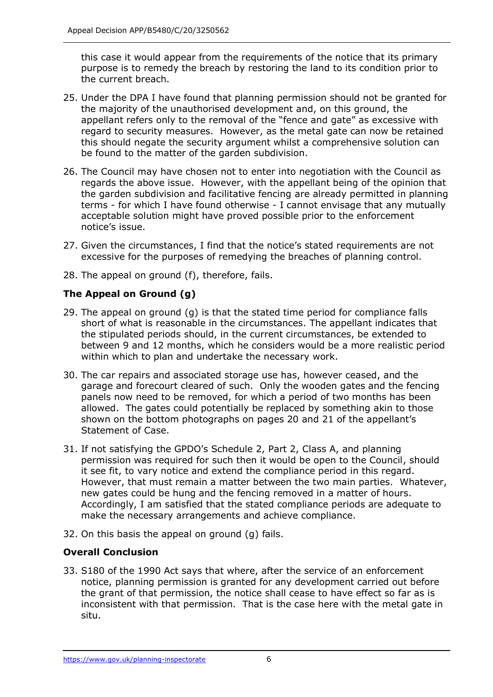this case it would appear from the requirements of the notice that its primary purpose is to remedy the breach by restoring the land to its condition prior to the current breach.

- 25. Under the DPA I have found that planning permission should not be granted for the majority of the unauthorised development and, on this ground, the appellant refers only to the removal of the "fence and gate" as excessive with regard to security measures. However, as the metal gate can now be retained this should negate the security argument whilst a comprehensive solution can be found to the matter of the garden subdivision.
- 26. The Council may have chosen not to enter into negotiation with the Council as regards the above issue. However, with the appellant being of the opinion that the garden subdivision and facilitative fencing are already permitted in planning terms - for which I have found otherwise - I cannot envisage that any mutually acceptable solution might have proved possible prior to the enforcement notice's issue.
- 27. Given the circumstances, I find that the notice's stated requirements are not excessive for the purposes of remedying the breaches of planning control.
- 28. The appeal on ground (f), therefore, fails.

## **The Appeal on Ground (g)**

- 29. The appeal on ground (g) is that the stated time period for compliance falls short of what is reasonable in the circumstances. The appellant indicates that the stipulated periods should, in the current circumstances, be extended to between 9 and 12 months, which he considers would be a more realistic period within which to plan and undertake the necessary work.
- 30. The car repairs and associated storage use has, however ceased, and the garage and forecourt cleared of such. Only the wooden gates and the fencing panels now need to be removed, for which a period of two months has been allowed. The gates could potentially be replaced by something akin to those shown on the bottom photographs on pages 20 and 21 of the appellant's Statement of Case.
- Statement of Case. 31. If not satisfying the GPDO's Schedule 2, Part 2, Class A, and planning permission was required for such then it would be open to the Council, should it see fit, to vary notice and extend the compliance period in this regard. However, that must remain a matter between the two main parties. Whatever, new gates could be hung and the fencing removed in a matter of hours. Accordingly, I am satisfied that the stated compliance periods are adequate to make the necessary arrangements and achieve compliance.
- 32. On this basis the appeal on ground (g) fails.

#### **Overall Conclusion**

 33. S180 of the 1990 Act says that where, after the service of an enforcement notice, planning permission is granted for any development carried out before the grant of that permission, the notice shall cease to have effect so far as is inconsistent with that permission. That is the case here with the metal gate in situ.